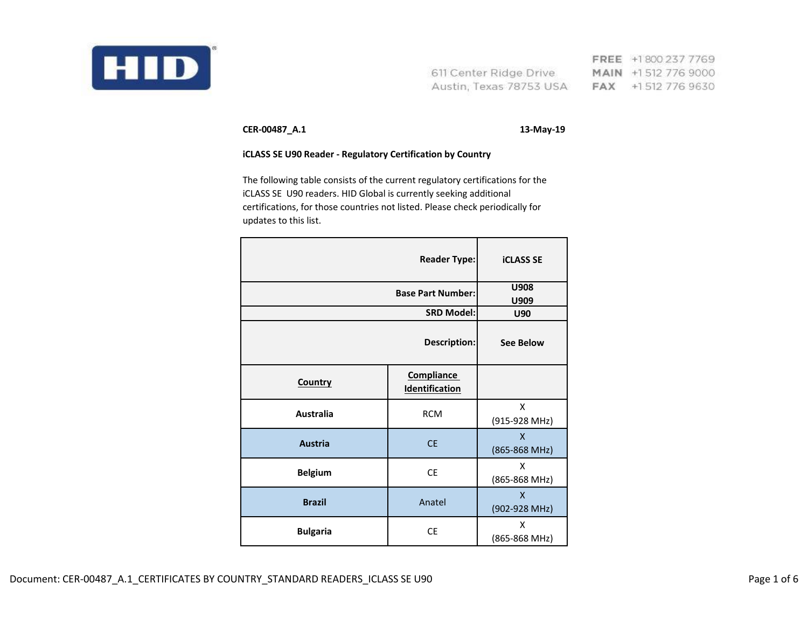

FREE +1800 237 7769 611 Center Ridge Drive MAIN +1 512 776 9000 Austin, Texas 78753 USA FAX +1512 776 9630

**CER-00487\_A.1 13-May-19**

## **iCLASS SE U90 Reader - Regulatory Certification by Country**

The following table consists of the current regulatory certifications for the iCLASS SE U90 readers. HID Global is currently seeking additional certifications, for those countries not listed. Please check periodically for updates to this list.

| <b>Reader Type:</b>      |                                     | <b>iCLASS SE</b>   |
|--------------------------|-------------------------------------|--------------------|
| <b>Base Part Number:</b> |                                     | U908<br>U909       |
|                          | <b>SRD Model:</b>                   |                    |
|                          | Description:                        | <b>See Below</b>   |
| Country                  | <b>Compliance</b><br>Identification |                    |
| Australia                | <b>RCM</b>                          | X<br>(915-928 MHz) |
| <b>Austria</b>           | <b>CE</b>                           | X<br>(865-868 MHz) |
| <b>Belgium</b>           | <b>CE</b>                           | X<br>(865-868 MHz) |
| <b>Brazil</b>            | Anatel                              | X<br>(902-928 MHz) |
| <b>Bulgaria</b>          | <b>CE</b>                           | X<br>(865-868 MHz) |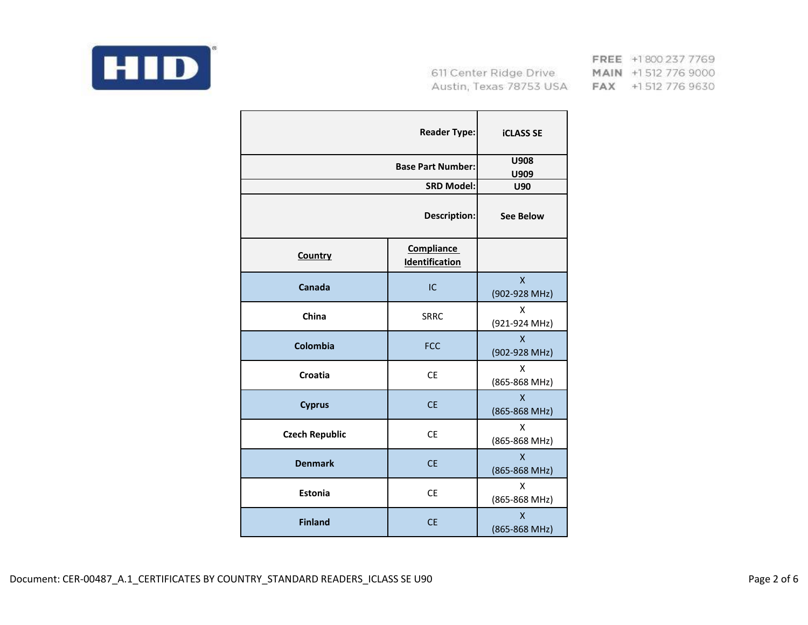

|                       | <b>Reader Type:</b>                 | <b>iCLASS SE</b>                           |
|-----------------------|-------------------------------------|--------------------------------------------|
|                       | <b>Base Part Number:</b>            | U908<br>U909                               |
|                       | <b>SRD Model:</b>                   | U90                                        |
|                       | Description:                        | <b>See Below</b>                           |
| <b>Country</b>        | <b>Compliance</b><br>Identification |                                            |
| Canada                | IC                                  | $\boldsymbol{\mathsf{X}}$<br>(902-928 MHz) |
| China                 | <b>SRRC</b>                         | Χ<br>(921-924 MHz)                         |
| Colombia              | <b>FCC</b>                          | $\mathsf{x}$<br>(902-928 MHz)              |
| Croatia               | <b>CE</b>                           | X<br>(865-868 MHz)                         |
| <b>Cyprus</b>         | <b>CE</b>                           | $\mathsf{x}$<br>(865-868 MHz)              |
| <b>Czech Republic</b> | <b>CE</b>                           | X<br>(865-868 MHz)                         |
| <b>Denmark</b>        | <b>CE</b>                           | $\mathsf{x}$<br>(865-868 MHz)              |
| Estonia               | <b>CE</b>                           | X<br>(865-868 MHz)                         |
| <b>Finland</b>        | <b>CE</b>                           | $\overline{\mathsf{X}}$<br>(865-868 MHz)   |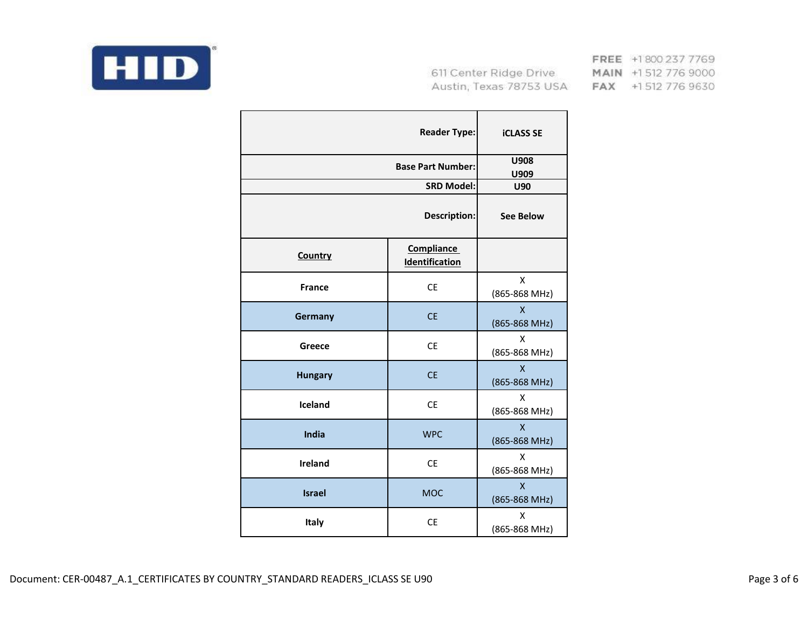

|                | <b>Reader Type:</b>                 | <b>iCLASS SE</b>                         |
|----------------|-------------------------------------|------------------------------------------|
|                | <b>Base Part Number:</b>            | U908<br>U909                             |
|                | <b>SRD Model:</b>                   | <b>U90</b>                               |
|                | <b>Description:</b>                 | <b>See Below</b>                         |
| <b>Country</b> | <b>Compliance</b><br>Identification |                                          |
| <b>France</b>  | <b>CE</b>                           | X<br>(865-868 MHz)                       |
| Germany        | <b>CE</b>                           | $\mathsf{x}$<br>(865-868 MHz)            |
| Greece         | <b>CE</b>                           | X<br>(865-868 MHz)                       |
| <b>Hungary</b> | <b>CE</b>                           | $\overline{\mathsf{x}}$<br>(865-868 MHz) |
| Iceland        | <b>CE</b>                           | X<br>(865-868 MHz)                       |
| India          | <b>WPC</b>                          | $\mathsf{x}$<br>(865-868 MHz)            |
| <b>Ireland</b> | <b>CE</b>                           | X<br>(865-868 MHz)                       |
| <b>Israel</b>  | <b>MOC</b>                          | $\mathsf{x}$<br>(865-868 MHz)            |
| Italy          | <b>CE</b>                           | X<br>(865-868 MHz)                       |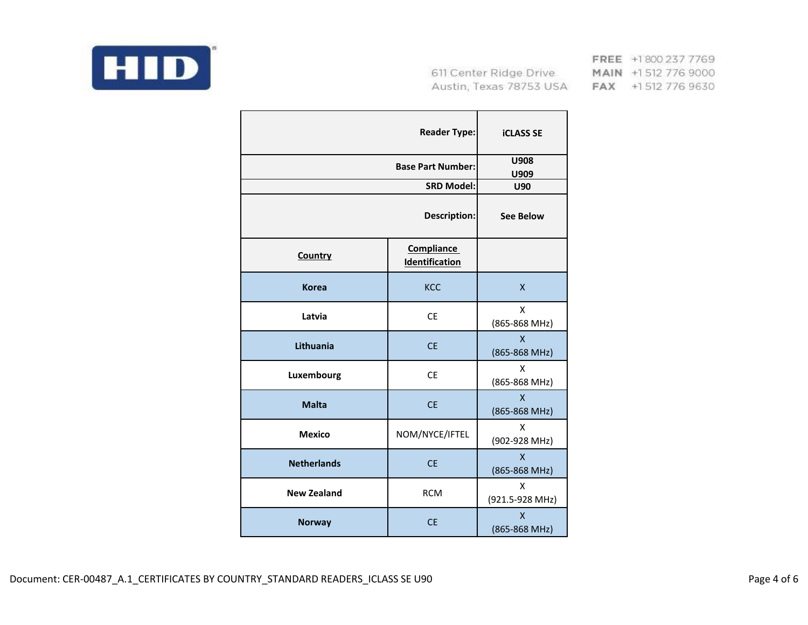

|                    | <b>Reader Type:</b>                        | <b>iCLASS SE</b>                         |
|--------------------|--------------------------------------------|------------------------------------------|
|                    | <b>Base Part Number:</b>                   | U908<br>U909                             |
|                    | <b>SRD Model:</b>                          | <b>U90</b>                               |
|                    | Description:                               | <b>See Below</b>                         |
| <b>Country</b>     | <b>Compliance</b><br><b>Identification</b> |                                          |
| <b>Korea</b>       | KCC                                        | X                                        |
| Latvia             | <b>CE</b>                                  | X<br>(865-868 MHz)                       |
| Lithuania          | <b>CE</b>                                  | $\pmb{\mathsf{X}}$<br>(865-868 MHz)      |
| Luxembourg         | <b>CE</b>                                  | X<br>(865-868 MHz)                       |
| <b>Malta</b>       | <b>CE</b>                                  | $\mathsf{x}$<br>(865-868 MHz)            |
| <b>Mexico</b>      | NOM/NYCE/IFTEL                             | X<br>(902-928 MHz)                       |
| <b>Netherlands</b> | <b>CE</b>                                  | $\overline{\mathsf{x}}$<br>(865-868 MHz) |
| <b>New Zealand</b> | <b>RCM</b>                                 | X<br>(921.5-928 MHz)                     |
| <b>Norway</b>      | <b>CE</b>                                  | $\mathsf{x}$<br>(865-868 MHz)            |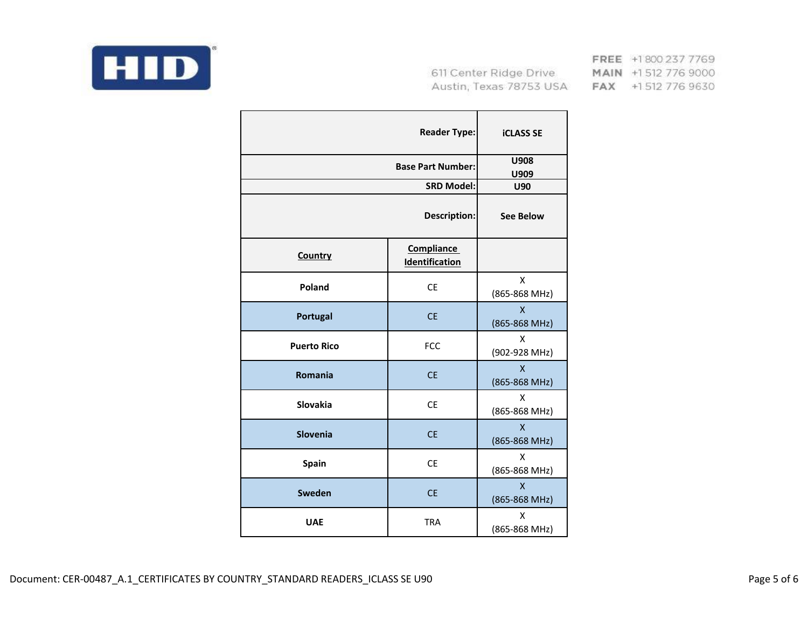

|                    | <b>Reader Type:</b>                 | <b>iCLASS SE</b>                           |
|--------------------|-------------------------------------|--------------------------------------------|
|                    | <b>Base Part Number:</b>            | U908<br>U909                               |
|                    | <b>SRD Model:</b>                   | U90                                        |
|                    | Description:                        | <b>See Below</b>                           |
| Country            | <b>Compliance</b><br>Identification |                                            |
| Poland             | <b>CE</b>                           | X<br>(865-868 MHz)                         |
| Portugal           | <b>CE</b>                           | $\mathsf{x}$<br>(865-868 MHz)              |
| <b>Puerto Rico</b> | <b>FCC</b>                          | X<br>(902-928 MHz)                         |
| <b>Romania</b>     | <b>CE</b>                           | $\overline{\mathsf{X}}$<br>(865-868 MHz)   |
| Slovakia           | <b>CE</b>                           | X<br>(865-868 MHz)                         |
| Slovenia           | <b>CE</b>                           | $\mathsf{x}$<br>(865-868 MHz)              |
| <b>Spain</b>       | <b>CE</b>                           | Χ<br>(865-868 MHz)                         |
| Sweden             | <b>CE</b>                           | $\boldsymbol{\mathsf{X}}$<br>(865-868 MHz) |
| <b>UAE</b>         | <b>TRA</b>                          | X<br>(865-868 MHz)                         |